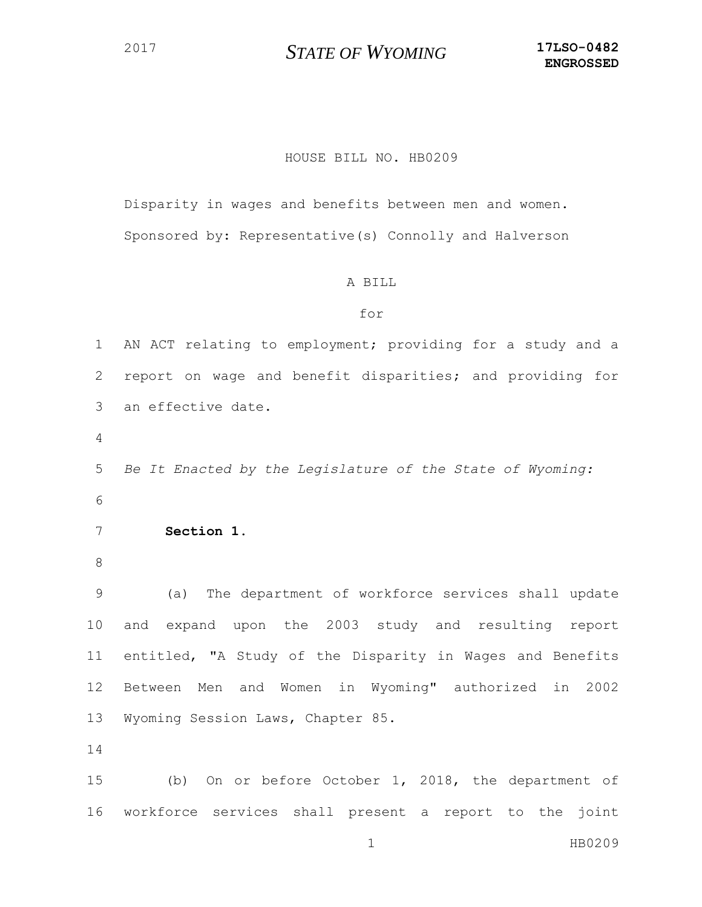## *STATE OF WYOMING* **17LSO-0482**

## HOUSE BILL NO. HB0209

Disparity in wages and benefits between men and women. Sponsored by: Representative(s) Connolly and Halverson

## A BILL

## for

 AN ACT relating to employment; providing for a study and a report on wage and benefit disparities; and providing for an effective date. *Be It Enacted by the Legislature of the State of Wyoming:* **Section 1**. (a) The department of workforce services shall update and expand upon the 2003 study and resulting report entitled, "A Study of the Disparity in Wages and Benefits Between Men and Women in Wyoming" authorized in 2002 Wyoming Session Laws, Chapter 85. (b) On or before October 1, 2018, the department of

workforce services shall present a report to the joint

1 HB0209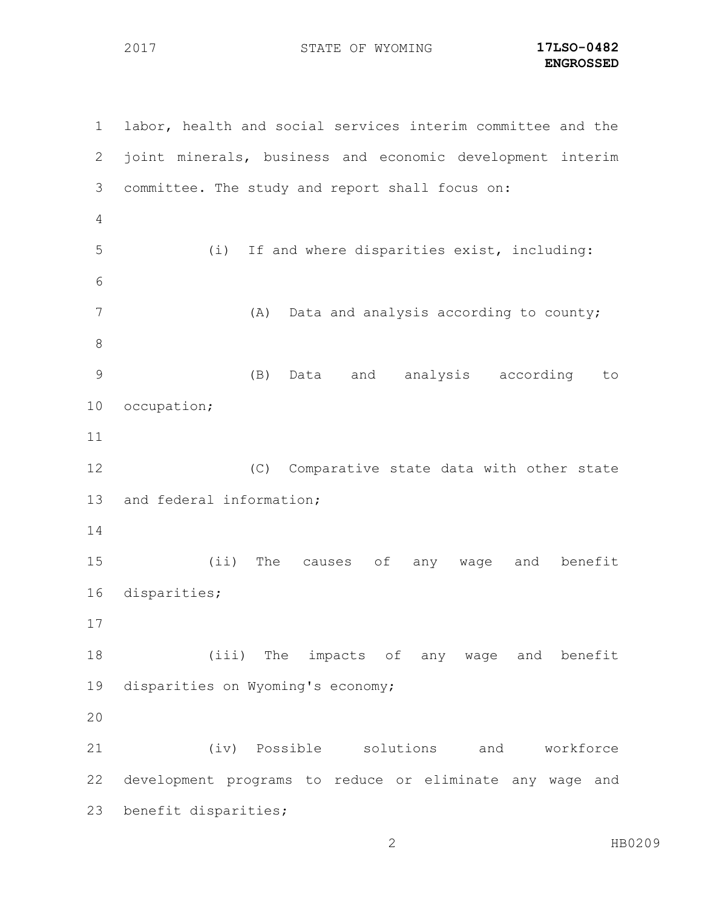STATE OF WYOMING **17LSO-0482**

 labor, health and social services interim committee and the joint minerals, business and economic development interim committee. The study and report shall focus on: (i) If and where disparities exist, including: (A) Data and analysis according to county; (B) Data and analysis according to occupation; (C) Comparative state data with other state and federal information; (ii) The causes of any wage and benefit disparities; (iii) The impacts of any wage and benefit disparities on Wyoming's economy; (iv) Possible solutions and workforce development programs to reduce or eliminate any wage and benefit disparities;